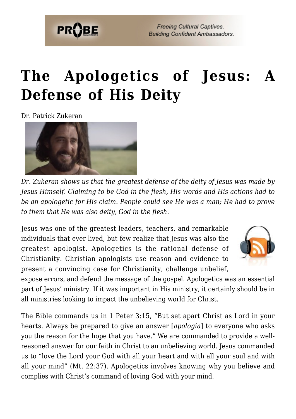

**Freeing Cultural Captives. Building Confident Ambassadors.** 

# **[The Apologetics of Jesus: A](https://probe.org/the-apologetics-of-jesus/) [Defense of His Deity](https://probe.org/the-apologetics-of-jesus/)**

Dr. Patrick Zukeran



*Dr. Zukeran shows us that the greatest defense of the deity of Jesus was made by Jesus Himself. Claiming to be God in the flesh, His words and His actions had to be an apologetic for His claim. People could see He was a man; He had to prove to them that He was also deity, God in the flesh.*

Jesus was one of the greatest leaders, teachers, and remarkable individuals that ever lived, but few realize that Jesus was also the greatest apologist. Apologetics is the rational defense of Christianity. Christian apologists use reason and evidence to present a convincing case for Christianity, challenge unbelief,



expose errors, and defend the message of the gospel. Apologetics was an essential part of Jesus' ministry. If it was important in His ministry, it certainly should be in all ministries looking to impact the unbelieving world for Christ.

The Bible commands us in 1 Peter 3:15, "But set apart Christ as Lord in your hearts. Always be prepared to give an answer [*apologia*] to everyone who asks you the reason for the hope that you have." We are commanded to provide a wellreasoned answer for our faith in Christ to an unbelieving world. Jesus commanded us to "love the Lord your God with all your heart and with all your soul and with all your mind" (Mt. 22:37). Apologetics involves knowing why you believe and complies with Christ's command of loving God with your mind.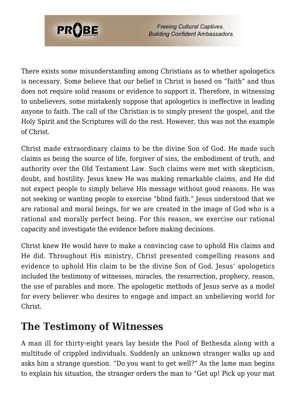

**Freeing Cultural Captives. Building Confident Ambassadors.** 

There exists some misunderstanding among Christians as to whether apologetics is necessary. Some believe that our belief in Christ is based on "faith" and thus does not require solid reasons or evidence to support it. Therefore, in witnessing to unbelievers, some mistakenly suppose that apologetics is ineffective in leading anyone to faith. The call of the Christian is to simply present the gospel, and the Holy Spirit and the Scriptures will do the rest. However, this was not the example of Christ.

Christ made extraordinary claims to be the divine Son of God. He made such claims as being the source of life, forgiver of sins, the embodiment of truth, and authority over the Old Testament Law. Such claims were met with skepticism, doubt, and hostility. Jesus knew He was making remarkable claims, and He did not expect people to simply believe His message without good reasons. He was not seeking or wanting people to exercise "blind faith." Jesus understood that we are rational and moral beings, for we are created in the image of God who is a rational and morally perfect being. For this reason, we exercise our rational capacity and investigate the evidence before making decisions.

Christ knew He would have to make a convincing case to uphold His claims and He did. Throughout His ministry, Christ presented compelling reasons and evidence to uphold His claim to be the divine Son of God. Jesus' apologetics included the testimony of witnesses, miracles, the resurrection, prophecy, reason, the use of parables and more. The apologetic methods of Jesus serve as a model for every believer who desires to engage and impact an unbelieving world for Christ.

#### **The Testimony of Witnesses**

A man ill for thirty-eight years lay beside the Pool of Bethesda along with a multitude of crippled individuals. Suddenly an unknown stranger walks up and asks him a strange question. "Do you want to get well?" As the lame man begins to explain his situation, the stranger orders the man to "Get up! Pick up your mat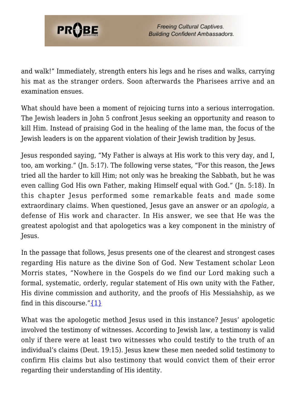

and walk!" Immediately, strength enters his legs and he rises and walks, carrying his mat as the stranger orders. Soon afterwards the Pharisees arrive and an examination ensues.

What should have been a moment of rejoicing turns into a serious interrogation. The Jewish leaders in John 5 confront Jesus seeking an opportunity and reason to kill Him. Instead of praising God in the healing of the lame man, the focus of the Jewish leaders is on the apparent violation of their Jewish tradition by Jesus.

Jesus responded saying, "My Father is always at His work to this very day, and I, too, am working." (Jn. 5:17). The following verse states, "For this reason, the Jews tried all the harder to kill Him; not only was he breaking the Sabbath, but he was even calling God His own Father, making Himself equal with God." (Jn. 5:18). In this chapter Jesus performed some remarkable feats and made some extraordinary claims. When questioned, Jesus gave an answer or an *apologia,* a defense of His work and character. In His answer, we see that He was the greatest apologist and that apologetics was a key component in the ministry of Jesus.

In the passage that follows, Jesus presents one of the clearest and strongest cases regarding His nature as the divine Son of God. New Testament scholar Leon Morris states, "Nowhere in the Gospels do we find our Lord making such a formal, systematic, orderly, regular statement of His own unity with the Father, His divine commission and authority, and the proofs of His Messiahship, as we find in this discourse." $\{1\}$ 

What was the apologetic method Jesus used in this instance? Jesus' apologetic involved the testimony of witnesses. According to Jewish law, a testimony is valid only if there were at least two witnesses who could testify to the truth of an individual's claims (Deut. 19:15). Jesus knew these men needed solid testimony to confirm His claims but also testimony that would convict them of their error regarding their understanding of His identity.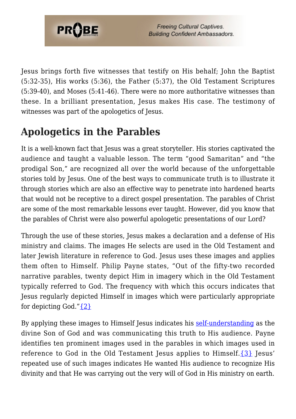

Jesus brings forth five witnesses that testify on His behalf; John the Baptist (5:32-35), His works (5:36), the Father (5:37), the Old Testament Scriptures (5:39-40), and Moses (5:41-46). There were no more authoritative witnesses than these. In a brilliant presentation, Jesus makes His case. The testimony of witnesses was part of the apologetics of Jesus.

## **Apologetics in the Parables**

It is a well-known fact that Jesus was a great storyteller. His stories captivated the audience and taught a valuable lesson. The term "good Samaritan" and "the prodigal Son," are recognized all over the world because of the unforgettable stories told by Jesus. One of the best ways to communicate truth is to illustrate it through stories which are also an effective way to penetrate into hardened hearts that would not be receptive to a direct gospel presentation. The parables of Christ are some of the most remarkable lessons ever taught. However, did you know that the parables of Christ were also powerful apologetic presentations of our Lord?

Through the use of these stories, Jesus makes a declaration and a defense of His ministry and claims. The images He selects are used in the Old Testament and later Jewish literature in reference to God. Jesus uses these images and applies them often to Himself. Philip Payne states, "Out of the fifty-two recorded narrative parables, twenty depict Him in imagery which in the Old Testament typically referred to God. The frequency with which this occurs indicates that Jesus regularly depicted Himself in images which were particularly appropriate for depicting God." $\{2\}$ 

By applying these images to Himself Jesus indicates his [self-understanding](https://www.probe.org/the-self-understanding-of-jesus/) as the divine Son of God and was communicating this truth to His audience. Payne identifies ten prominent images used in the parables in which images used in reference to God in the Old Testament Jesus applies to Himself. $\{3\}$  Jesus' repeated use of such images indicates He wanted His audience to recognize His divinity and that He was carrying out the very will of God in His ministry on earth.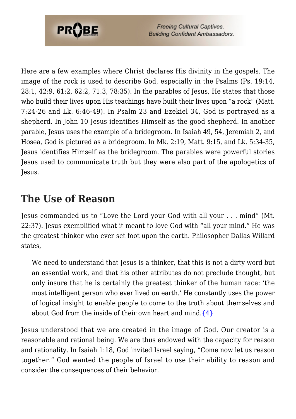

Here are a few examples where Christ declares His divinity in the gospels. The image of the rock is used to describe God, especially in the Psalms (Ps. 19:14, 28:1, 42:9, 61:2, 62:2, 71:3, 78:35). In the parables of Jesus, He states that those who build their lives upon His teachings have built their lives upon "a rock" (Matt. 7:24-26 and Lk. 6:46-49). In Psalm 23 and Ezekiel 34, God is portrayed as a shepherd. In John 10 Jesus identifies Himself as the good shepherd. In another parable, Jesus uses the example of a bridegroom. In Isaiah 49, 54, Jeremiah 2, and Hosea, God is pictured as a bridegroom. In Mk. 2:19, Matt. 9:15, and Lk. 5:34-35, Jesus identifies Himself as the bridegroom. The parables were powerful stories Jesus used to communicate truth but they were also part of the apologetics of Jesus.

### **The Use of Reason**

Jesus commanded us to "Love the Lord your God with all your . . . mind" (Mt. 22:37). Jesus exemplified what it meant to love God with "all your mind." He was the greatest thinker who ever set foot upon the earth. Philosopher Dallas Willard states,

We need to understand that Jesus is a thinker, that this is not a dirty word but an essential work, and that his other attributes do not preclude thought, but only insure that he is certainly the greatest thinker of the human race: 'the most intelligent person who ever lived on earth.' He constantly uses the power of logical insight to enable people to come to the truth about themselves and about God from the inside of their own heart and mind. $\{4\}$ 

Jesus understood that we are created in the image of God. Our creator is a reasonable and rational being. We are thus endowed with the capacity for reason and rationality. In Isaiah 1:18, God invited Israel saying, "Come now let us reason together." God wanted the people of Israel to use their ability to reason and consider the consequences of their behavior.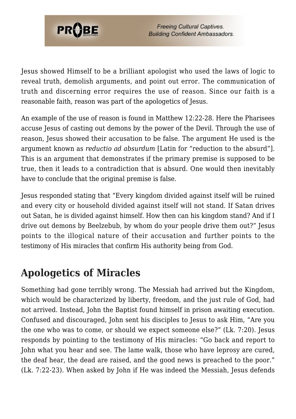

Jesus showed Himself to be a brilliant apologist who used the laws of logic to reveal truth, demolish arguments, and point out error. The communication of truth and discerning error requires the use of reason. Since our faith is a reasonable faith, reason was part of the apologetics of Jesus.

An example of the use of reason is found in Matthew 12:22-28. Here the Pharisees accuse Jesus of casting out demons by the power of the Devil. Through the use of reason, Jesus showed their accusation to be false. The argument He used is the argument known as *reductio ad absurdum* [Latin for "reduction to the absurd"]. This is an argument that demonstrates if the primary premise is supposed to be true, then it leads to a contradiction that is absurd. One would then inevitably have to conclude that the original premise is false.

Jesus responded stating that "Every kingdom divided against itself will be ruined and every city or household divided against itself will not stand. If Satan drives out Satan, he is divided against himself. How then can his kingdom stand? And if I drive out demons by Beelzebub, by whom do your people drive them out?" Jesus points to the illogical nature of their accusation and further points to the testimony of His miracles that confirm His authority being from God.

### **Apologetics of Miracles**

Something had gone terribly wrong. The Messiah had arrived but the Kingdom, which would be characterized by liberty, freedom, and the just rule of God, had not arrived. Instead, John the Baptist found himself in prison awaiting execution. Confused and discouraged, John sent his disciples to Jesus to ask Him, "Are you the one who was to come, or should we expect someone else?" (Lk. 7:20). Jesus responds by pointing to the testimony of His miracles: "Go back and report to John what you hear and see. The lame walk, those who have leprosy are cured, the deaf hear, the dead are raised, and the good news is preached to the poor." (Lk. 7:22-23). When asked by John if He was indeed the Messiah, Jesus defends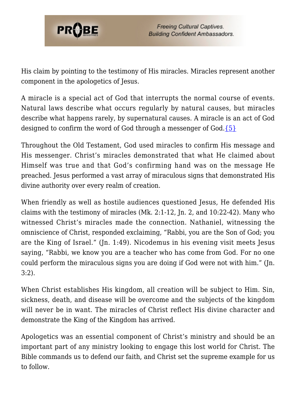

His claim by pointing to the testimony of His miracles. Miracles represent another component in the apologetics of Jesus.

A miracle is a special act of God that interrupts the normal course of events. Natural laws describe what occurs regularly by natural causes, but miracles describe what happens rarely, by supernatural causes. A miracle is an act of God designed to confirm the word of God through a messenger of God[.{5}](#page-7-4)

Throughout the Old Testament, God used miracles to confirm His message and His messenger. Christ's miracles demonstrated that what He claimed about Himself was true and that God's confirming hand was on the message He preached. Jesus performed a vast array of miraculous signs that demonstrated His divine authority over every realm of creation.

When friendly as well as hostile audiences questioned Jesus, He defended His claims with the testimony of miracles (Mk. 2:1-12, Jn. 2, and 10:22-42). Many who witnessed Christ's miracles made the connection. Nathaniel, witnessing the omniscience of Christ, responded exclaiming, "Rabbi, you are the Son of God; you are the King of Israel." (Jn. 1:49). Nicodemus in his evening visit meets Jesus saying, "Rabbi, we know you are a teacher who has come from God. For no one could perform the miraculous signs you are doing if God were not with him." (Jn. 3:2).

When Christ establishes His kingdom, all creation will be subject to Him. Sin, sickness, death, and disease will be overcome and the subjects of the kingdom will never be in want. The miracles of Christ reflect His divine character and demonstrate the King of the Kingdom has arrived.

Apologetics was an essential component of Christ's ministry and should be an important part of any ministry looking to engage this lost world for Christ. The Bible commands us to defend our faith, and Christ set the supreme example for us to follow.